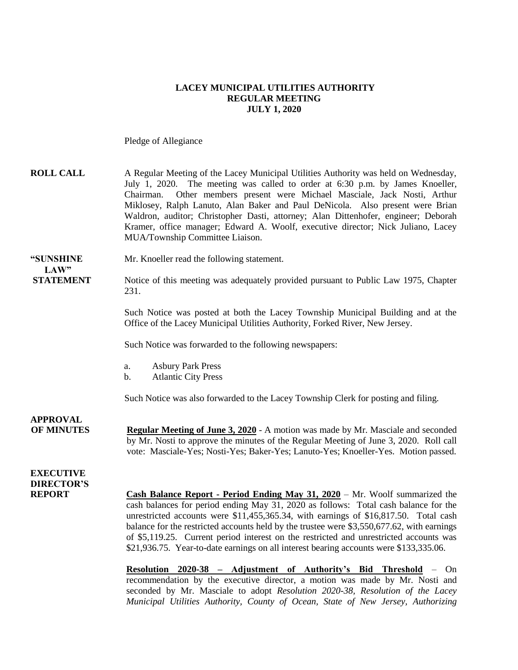### **LACEY MUNICIPAL UTILITIES AUTHORITY REGULAR MEETING JULY 1, 2020**

Pledge of Allegiance

| <b>ROLL CALL</b>                      | A Regular Meeting of the Lacey Municipal Utilities Authority was held on Wednesday,<br>July 1, 2020. The meeting was called to order at 6:30 p.m. by James Knoeller,<br>Other members present were Michael Masciale, Jack Nosti, Arthur<br>Chairman.<br>Miklosey, Ralph Lanuto, Alan Baker and Paul DeNicola. Also present were Brian<br>Waldron, auditor; Christopher Dasti, attorney; Alan Dittenhofer, engineer; Deborah<br>Kramer, office manager; Edward A. Woolf, executive director; Nick Juliano, Lacey<br>MUA/Township Committee Liaison.  |
|---------------------------------------|-----------------------------------------------------------------------------------------------------------------------------------------------------------------------------------------------------------------------------------------------------------------------------------------------------------------------------------------------------------------------------------------------------------------------------------------------------------------------------------------------------------------------------------------------------|
| "SUNSHINE<br>LAW"                     | Mr. Knoeller read the following statement.                                                                                                                                                                                                                                                                                                                                                                                                                                                                                                          |
| <b>STATEMENT</b>                      | Notice of this meeting was adequately provided pursuant to Public Law 1975, Chapter<br>231.                                                                                                                                                                                                                                                                                                                                                                                                                                                         |
|                                       | Such Notice was posted at both the Lacey Township Municipal Building and at the<br>Office of the Lacey Municipal Utilities Authority, Forked River, New Jersey.                                                                                                                                                                                                                                                                                                                                                                                     |
|                                       | Such Notice was forwarded to the following newspapers:                                                                                                                                                                                                                                                                                                                                                                                                                                                                                              |
|                                       | <b>Asbury Park Press</b><br>a.<br><b>Atlantic City Press</b><br>b.                                                                                                                                                                                                                                                                                                                                                                                                                                                                                  |
|                                       | Such Notice was also forwarded to the Lacey Township Clerk for posting and filing.                                                                                                                                                                                                                                                                                                                                                                                                                                                                  |
| <b>APPROVAL</b><br><b>OF MINUTES</b>  | <b>Regular Meeting of June 3, 2020</b> - A motion was made by Mr. Masciale and seconded<br>by Mr. Nosti to approve the minutes of the Regular Meeting of June 3, 2020. Roll call<br>vote: Masciale-Yes; Nosti-Yes; Baker-Yes; Lanuto-Yes; Knoeller-Yes. Motion passed.                                                                                                                                                                                                                                                                              |
| <b>EXECUTIVE</b><br><b>DIRECTOR'S</b> |                                                                                                                                                                                                                                                                                                                                                                                                                                                                                                                                                     |
| <b>REPORT</b>                         | <b>Cash Balance Report - Period Ending May 31, 2020</b> – Mr. Woolf summarized the<br>cash balances for period ending May 31, 2020 as follows: Total cash balance for the<br>unrestricted accounts were \$11,455,365.34, with earnings of \$16,817.50. Total cash<br>balance for the restricted accounts held by the trustee were \$3,550,677.62, with earnings<br>of \$5,119.25. Current period interest on the restricted and unrestricted accounts was<br>\$21,936.75. Year-to-date earnings on all interest bearing accounts were \$133,335.06. |

**Resolution 2020-38 – Adjustment of Authority's Bid Threshold** – On recommendation by the executive director, a motion was made by Mr. Nosti and seconded by Mr. Masciale to adopt *Resolution 2020-38, Resolution of the Lacey Municipal Utilities Authority, County of Ocean, State of New Jersey, Authorizing*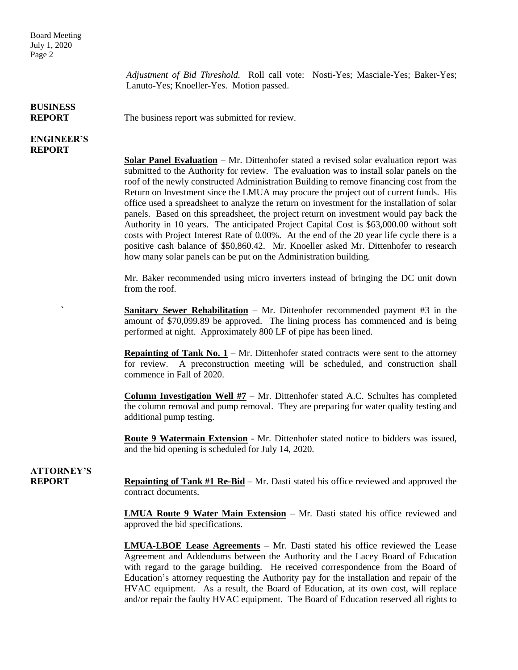*Adjustment of Bid Threshold.* Roll call vote: Nosti-Yes; Masciale-Yes; Baker-Yes; Lanuto-Yes; Knoeller-Yes. Motion passed.

#### **BUSINESS REPORT** The business report was submitted for review.

### **ENGINEER'S REPORT**

**Solar Panel Evaluation** – Mr. Dittenhofer stated a revised solar evaluation report was submitted to the Authority for review. The evaluation was to install solar panels on the roof of the newly constructed Administration Building to remove financing cost from the Return on Investment since the LMUA may procure the project out of current funds. His office used a spreadsheet to analyze the return on investment for the installation of solar panels. Based on this spreadsheet, the project return on investment would pay back the Authority in 10 years. The anticipated Project Capital Cost is \$63,000.00 without soft costs with Project Interest Rate of 0.00%. At the end of the 20 year life cycle there is a positive cash balance of \$50,860.42. Mr. Knoeller asked Mr. Dittenhofer to research how many solar panels can be put on the Administration building.

Mr. Baker recommended using micro inverters instead of bringing the DC unit down from the roof.

**<u>Sanitary Sewer Rehabilitation</u>** – Mr. Dittenhofer recommended payment #3 in the amount of \$70,099.89 be approved. The lining process has commenced and is being performed at night. Approximately 800 LF of pipe has been lined.

**Repainting of Tank No.**  $1 - Mr$ **. Dittenhofer stated contracts were sent to the attorney** for review. A preconstruction meeting will be scheduled, and construction shall commence in Fall of 2020.

**Column Investigation Well #7** – Mr. Dittenhofer stated A.C. Schultes has completed the column removal and pump removal. They are preparing for water quality testing and additional pump testing.

**Route 9 Watermain Extension** - Mr. Dittenhofer stated notice to bidders was issued, and the bid opening is scheduled for July 14, 2020.

## **ATTORNEY'S**

**REPORT Repainting of Tank #1 Re-Bid** – Mr. Dasti stated his office reviewed and approved the contract documents.

> **LMUA Route 9 Water Main Extension** – Mr. Dasti stated his office reviewed and approved the bid specifications.

> **LMUA-LBOE Lease Agreements** – Mr. Dasti stated his office reviewed the Lease Agreement and Addendums between the Authority and the Lacey Board of Education with regard to the garage building. He received correspondence from the Board of Education's attorney requesting the Authority pay for the installation and repair of the HVAC equipment. As a result, the Board of Education, at its own cost, will replace and/or repair the faulty HVAC equipment. The Board of Education reserved all rights to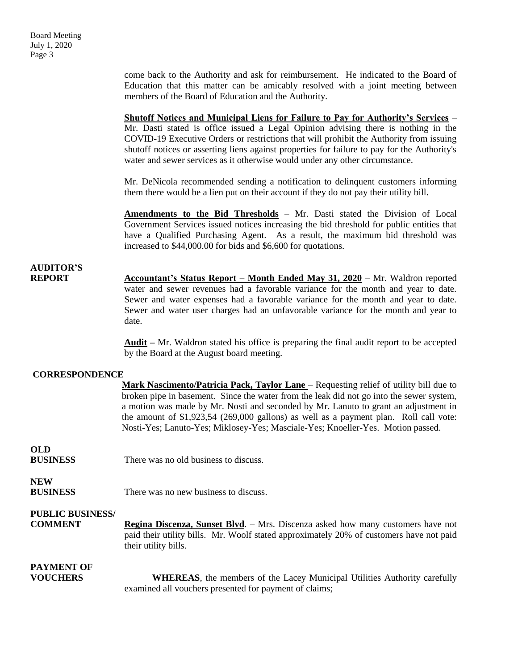come back to the Authority and ask for reimbursement. He indicated to the Board of Education that this matter can be amicably resolved with a joint meeting between members of the Board of Education and the Authority.

**Shutoff Notices and Municipal Liens for Failure to Pay for Authority's Services** – Mr. Dasti stated is office issued a Legal Opinion advising there is nothing in the COVID-19 Executive Orders or restrictions that will prohibit the Authority from issuing shutoff notices or asserting liens against properties for failure to pay for the Authority's water and sewer services as it otherwise would under any other circumstance.

Mr. DeNicola recommended sending a notification to delinquent customers informing them there would be a lien put on their account if they do not pay their utility bill.

**Amendments to the Bid Thresholds** – Mr. Dasti stated the Division of Local Government Services issued notices increasing the bid threshold for public entities that have a Qualified Purchasing Agent. As a result, the maximum bid threshold was increased to \$44,000.00 for bids and \$6,600 for quotations.

# **AUDITOR'S**

**REPORT Accountant's Status Report – Month Ended May 31, 2020** – Mr. Waldron reported water and sewer revenues had a favorable variance for the month and year to date. Sewer and water expenses had a favorable variance for the month and year to date. Sewer and water user charges had an unfavorable variance for the month and year to date.

> **Audit –** Mr. Waldron stated his office is preparing the final audit report to be accepted by the Board at the August board meeting.

### **CORRESPONDENCE**

|                         | Mark Nascimento/Patricia Pack, Taylor Lane – Requesting relief of utility bill due to    |
|-------------------------|------------------------------------------------------------------------------------------|
|                         | broken pipe in basement. Since the water from the leak did not go into the sewer system, |
|                         | a motion was made by Mr. Nosti and seconded by Mr. Lanuto to grant an adjustment in      |
|                         | the amount of $$1,923,54$ (269,000 gallons) as well as a payment plan. Roll call vote:   |
|                         | Nosti-Yes; Lanuto-Yes; Miklosey-Yes; Masciale-Yes; Knoeller-Yes. Motion passed.          |
| <b>OLD</b>              |                                                                                          |
| <b>BUSINESS</b>         | There was no old business to discuss.                                                    |
| <b>NEW</b>              |                                                                                          |
| <b>BUSINESS</b>         | There was no new business to discuss.                                                    |
| <b>PUBLIC BUSINESS/</b> |                                                                                          |
| <b>COMMENT</b>          | Regina Discenza, Sunset Blvd. - Mrs. Discenza asked how many customers have not          |
|                         | paid their utility bills. Mr. Woolf stated approximately 20% of customers have not paid  |
|                         | their utility bills.                                                                     |
| <b>PAYMENT OF</b>       |                                                                                          |
| <b>VOUCHERS</b>         | <b>WHEREAS</b> , the members of the Lacey Municipal Utilities Authority carefully        |
|                         | examined all vouchers presented for payment of claims;                                   |